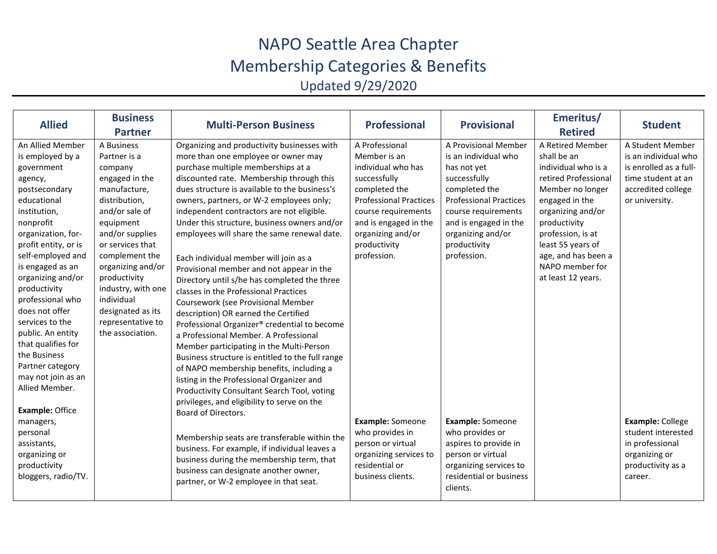## NAPO Seattle Area Chapter Membership Categories & Benefits

Updated 9/29/2020

| <b>Allied</b>          | <b>Business</b>    | <b>Multi-Person Business</b>                     | <b>Professional</b>           | <b>Provisional</b>            | Emeritus/            | <b>Student</b>         |
|------------------------|--------------------|--------------------------------------------------|-------------------------------|-------------------------------|----------------------|------------------------|
|                        | <b>Partner</b>     |                                                  |                               |                               | <b>Retired</b>       |                        |
| An Allied Member       | A Business         | Organizing and productivity businesses with      | A Professional                | A Provisional Member          | A Retired Member     | A Student Member       |
| is employed by a       | Partner is a       | more than one employee or owner may              | Member is an                  | is an individual who          | shall be an          | is an individual who   |
| government             | company            | purchase multiple memberships at a               | individual who has            | has not yet                   | individual who is a  | is enrolled as a full- |
| agency,                | engaged in the     | discounted rate. Membership through this         | successfully                  | successfully                  | retired Professional | time student at an     |
| postsecondary          | manufacture,       | dues structure is available to the business's    | completed the                 | completed the                 | Member no longer     | accredited college     |
| educational            | distribution,      | owners, partners, or W-2 employees only;         | <b>Professional Practices</b> | <b>Professional Practices</b> | engaged in the       | or university.         |
| institution,           | and/or sale of     | independent contractors are not eligible.        | course requirements           | course requirements           | organizing and/or    |                        |
| nonprofit              | equipment          | Under this structure, business owners and/or     | and is engaged in the         | and is engaged in the         | productivity         |                        |
| organization, for-     | and/or supplies    | employees will share the same renewal date.      | organizing and/or             | organizing and/or             | profession, is at    |                        |
| profit entity, or is   | or services that   |                                                  | productivity                  | productivity                  | least 55 years of    |                        |
| self-employed and      | complement the     | Each individual member will join as a            | profession.                   | profession.                   | age, and has been a  |                        |
| is engaged as an       | organizing and/or  | Provisional member and not appear in the         |                               |                               | NAPO member for      |                        |
| organizing and/or      | productivity       | Directory until s/he has completed the three     |                               |                               | at least 12 years.   |                        |
| productivity           | industry, with one | classes in the Professional Practices            |                               |                               |                      |                        |
| professional who       | individual         | Coursework (see Provisional Member               |                               |                               |                      |                        |
| does not offer         | designated as its  | description) OR earned the Certified             |                               |                               |                      |                        |
| services to the        | representative to  | Professional Organizer® credential to become     |                               |                               |                      |                        |
| public. An entity      | the association.   | a Professional Member, A Professional            |                               |                               |                      |                        |
| that qualifies for     |                    | Member participating in the Multi-Person         |                               |                               |                      |                        |
| the Business           |                    | Business structure is entitled to the full range |                               |                               |                      |                        |
| Partner category       |                    | of NAPO membership benefits, including a         |                               |                               |                      |                        |
| may not join as an     |                    | listing in the Professional Organizer and        |                               |                               |                      |                        |
| Allied Member.         |                    | Productivity Consultant Search Tool, voting      |                               |                               |                      |                        |
|                        |                    | privileges, and eligibility to serve on the      |                               |                               |                      |                        |
| <b>Example: Office</b> |                    | Board of Directors.                              |                               |                               |                      |                        |
| managers,              |                    |                                                  | Example: Someone              | Example: Someone              |                      | Example: College       |
| personal               |                    | Membership seats are transferable within the     | who provides in               | who provides or               |                      | student interested     |
| assistants,            |                    | business. For example, if individual leaves a    | person or virtual             | aspires to provide in         |                      | in professional        |
| organizing or          |                    | business during the membership term, that        | organizing services to        | person or virtual             |                      | organizing or          |
| productivity           |                    | business can designate another owner,            | residential or                | organizing services to        |                      | productivity as a      |
| bloggers, radio/TV.    |                    | partner, or W-2 employee in that seat.           | business clients.             | residential or business       |                      | career.                |
|                        |                    |                                                  |                               | clients.                      |                      |                        |
|                        |                    |                                                  |                               |                               |                      |                        |